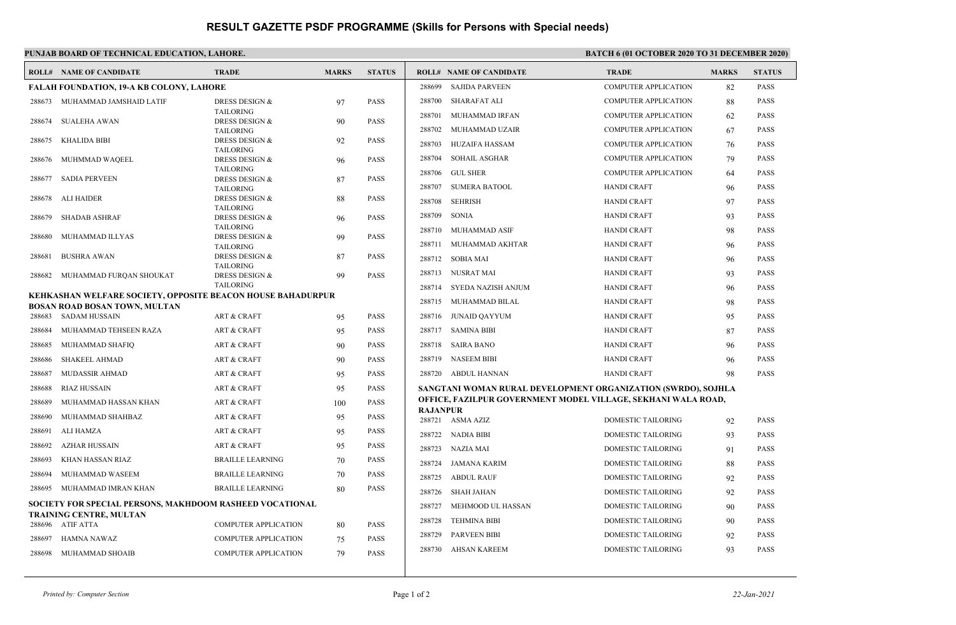## **RESULT GAZETTE PSDF PROGRAMME (Skills for Persons with Special needs)**

| PUNJAB BOARD OF TECHNICAL EDUCATION, LAHORE.<br><b>BATCH 6 (01 OCTOBER 2020 TO 31 DECEMBER 2020)</b> |                                                                                              |                                               |              |               |                                                               |                                |                             |              |                            |  |  |
|------------------------------------------------------------------------------------------------------|----------------------------------------------------------------------------------------------|-----------------------------------------------|--------------|---------------|---------------------------------------------------------------|--------------------------------|-----------------------------|--------------|----------------------------|--|--|
|                                                                                                      | <b>ROLL# NAME OF CANDIDATE</b>                                                               | <b>TRADE</b>                                  | <b>MARKS</b> | <b>STATUS</b> |                                                               | <b>ROLL# NAME OF CANDIDATE</b> | <b>TRADE</b>                | <b>MARKS</b> | <b>STATUS</b>              |  |  |
| <b>FALAH FOUNDATION, 19-A KB COLONY, LAHORE</b>                                                      |                                                                                              |                                               |              |               | 288699                                                        | <b>SAJIDA PARVEEN</b>          | <b>COMPUTER APPLICATION</b> | 82           | PASS                       |  |  |
|                                                                                                      | 288673 MUHAMMAD JAMSHAID LATIF                                                               | DRESS DESIGN &                                | 97           | <b>PASS</b>   |                                                               | 288700 SHARAFAT ALI            | <b>COMPUTER APPLICATION</b> | 88           | <b>PASS</b>                |  |  |
| 288674                                                                                               | SUALEHA AWAN                                                                                 | <b>TAILORING</b><br><b>DRESS DESIGN &amp;</b> | 90           | <b>PASS</b>   | 288701                                                        | MUHAMMAD IRFAN                 | <b>COMPUTER APPLICATION</b> | 62           | <b>PASS</b>                |  |  |
|                                                                                                      |                                                                                              | <b>TAILORING</b>                              |              |               | 288702                                                        | MUHAMMAD UZAIR                 | <b>COMPUTER APPLICATION</b> | 67           | <b>PASS</b>                |  |  |
| 288675                                                                                               | KHALIDA BIBI                                                                                 | <b>DRESS DESIGN &amp;</b><br><b>TAILORING</b> | 92           | <b>PASS</b>   | 288703                                                        | HUZAIFA HASSAM                 | <b>COMPUTER APPLICATION</b> | 76           | <b>PASS</b>                |  |  |
| 288676                                                                                               | MUHMMAD WAQEEL                                                                               | DRESS DESIGN &                                | 96           | <b>PASS</b>   | 288704                                                        | <b>SOHAIL ASGHAR</b>           | <b>COMPUTER APPLICATION</b> | 79           | <b>PASS</b>                |  |  |
| 288677                                                                                               | SADIA PERVEEN                                                                                | <b>TAILORING</b><br><b>DRESS DESIGN &amp;</b> |              | <b>PASS</b>   | 288706                                                        | <b>GUL SHER</b>                | <b>COMPUTER APPLICATION</b> | 64           | <b>PASS</b>                |  |  |
|                                                                                                      |                                                                                              | <b>TAILORING</b>                              | 87           |               |                                                               | 288707 SUMERA BATOOL           | <b>HANDI CRAFT</b>          | 96           | <b>PASS</b>                |  |  |
|                                                                                                      | 288678 ALI HAIDER                                                                            | DRESS DESIGN &                                | 88           | <b>PASS</b>   | 288708                                                        | <b>SEHRISH</b>                 | <b>HANDI CRAFT</b>          | 97           | <b>PASS</b>                |  |  |
| 288679                                                                                               | SHADAB ASHRAF                                                                                | <b>TAILORING</b><br>DRESS DESIGN &            | 96           | <b>PASS</b>   | 288709                                                        | <b>SONIA</b>                   | <b>HANDI CRAFT</b>          | 93           | <b>PASS</b>                |  |  |
|                                                                                                      |                                                                                              | <b>TAILORING</b>                              |              |               |                                                               | 288710 MUHAMMAD ASIF           | <b>HANDI CRAFT</b>          | 98           | <b>PASS</b>                |  |  |
| 288680                                                                                               | MUHAMMAD ILLYAS                                                                              | <b>DRESS DESIGN &amp;</b><br><b>TAILORING</b> | 99           | <b>PASS</b>   |                                                               | 288711 MUHAMMAD AKHTAR         | <b>HANDI CRAFT</b>          | 96           | <b>PASS</b>                |  |  |
| 288681                                                                                               | <b>BUSHRA AWAN</b>                                                                           | DRESS DESIGN &                                | 87           | <b>PASS</b>   |                                                               | 288712 SOBIA MAI               | <b>HANDI CRAFT</b>          | 96           | <b>PASS</b>                |  |  |
| 288682                                                                                               | MUHAMMAD FURQAN SHOUKAT                                                                      | <b>TAILORING</b><br>DRESS DESIGN &            | 99           | <b>PASS</b>   |                                                               | 288713 NUSRAT MAI              | <b>HANDI CRAFT</b>          | 93           | <b>PASS</b>                |  |  |
|                                                                                                      |                                                                                              | <b>TAILORING</b>                              |              |               | 288714                                                        | SYEDA NAZISH ANJUM             | <b>HANDI CRAFT</b>          | 96           | <b>PASS</b>                |  |  |
|                                                                                                      | KEHKASHAN WELFARE SOCIETY, OPPOSITE BEACON HOUSE BAHADURPUR<br>BOSAN ROAD BOSAN TOWN, MULTAN |                                               |              |               |                                                               | 288715 MUHAMMAD BILAL          | <b>HANDI CRAFT</b>          | 98           | <b>PASS</b>                |  |  |
|                                                                                                      | 288683 SADAM HUSSAIN                                                                         | <b>ART &amp; CRAFT</b>                        | 95           | <b>PASS</b>   |                                                               | 288716 JUNAID QAYYUM           | <b>HANDI CRAFT</b>          | 95           | <b>PASS</b>                |  |  |
| 288684                                                                                               | MUHAMMAD TEHSEEN RAZA                                                                        | <b>ART &amp; CRAFT</b>                        | 95           | <b>PASS</b>   |                                                               | 288717 SAMINA BIBI             | <b>HANDI CRAFT</b>          | 87           | <b>PASS</b>                |  |  |
| 288685                                                                                               | MUHAMMAD SHAFIQ                                                                              | <b>ART &amp; CRAFT</b>                        | 90           | <b>PASS</b>   |                                                               | 288718 SAIRA BANO              | <b>HANDI CRAFT</b>          | 96           | <b>PASS</b>                |  |  |
| 288686                                                                                               | <b>SHAKEEL AHMAD</b>                                                                         | <b>ART &amp; CRAFT</b>                        | 90           | <b>PASS</b>   | 288719                                                        | <b>NASEEM BIBI</b>             | <b>HANDI CRAFT</b>          | 96           | <b>PASS</b>                |  |  |
| 288687                                                                                               | MUDASSIR AHMAD                                                                               | <b>ART &amp; CRAFT</b>                        | 95           | <b>PASS</b>   |                                                               | 288720 ABDUL HANNAN            | <b>HANDI CRAFT</b>          | 98           | <b>PASS</b>                |  |  |
| 288688                                                                                               | <b>RIAZ HUSSAIN</b>                                                                          | <b>ART &amp; CRAFT</b>                        | 95           | <b>PASS</b>   | SANGTANI WOMAN RURAL DEVELOPMENT ORGANIZATION (SWRDO), SOJHLA |                                |                             |              |                            |  |  |
| 288689                                                                                               | MUHAMMAD HASSAN KHAN                                                                         | <b>ART &amp; CRAFT</b>                        | 100          | <b>PASS</b>   | OFFICE, FAZILPUR GOVERNMENT MODEL VILLAGE, SEKHANI WALA ROAD, |                                |                             |              |                            |  |  |
| 288690                                                                                               | MUHAMMAD SHAHBAZ                                                                             | <b>ART &amp; CRAFT</b>                        | 95           | <b>PASS</b>   | <b>RAJANPUR</b>                                               | 288721 ASMA AZIZ               |                             |              | <b>PASS</b>                |  |  |
| 288691                                                                                               | <b>ALI HAMZA</b>                                                                             | <b>ART &amp; CRAFT</b>                        | 95           | <b>PASS</b>   |                                                               | 288722 NADIA BIBI              | DOMESTIC TAILORING          | 92           |                            |  |  |
| 288692                                                                                               | <b>AZHAR HUSSAIN</b>                                                                         | <b>ART &amp; CRAFT</b>                        | 95           | <b>PASS</b>   |                                                               | 288723 NAZIA MAI               | DOMESTIC TAILORING          | 93           | <b>PASS</b><br><b>PASS</b> |  |  |
| 288693                                                                                               | KHAN HASSAN RIAZ                                                                             | <b>BRAILLE LEARNING</b>                       | 70           | <b>PASS</b>   |                                                               |                                | <b>DOMESTIC TAILORING</b>   | 91           |                            |  |  |
| 288694                                                                                               | MUHAMMAD WASEEM                                                                              | <b>BRAILLE LEARNING</b>                       | 70           | <b>PASS</b>   |                                                               | 288724 JAMANA KARIM            | DOMESTIC TAILORING          | 88           | <b>PASS</b>                |  |  |
| 288695                                                                                               | MUHAMMAD IMRAN KHAN                                                                          | <b>BRAILLE LEARNING</b>                       | 80           | <b>PASS</b>   |                                                               | 288725 ABDUL RAUF              | DOMESTIC TAILORING          | 92           | <b>PASS</b>                |  |  |
|                                                                                                      | SOCIETY FOR SPECIAL PERSONS, MAKHDOOM RASHEED VOCATIONAL                                     |                                               |              |               |                                                               | 288726 SHAH JAHAN              | DOMESTIC TAILORING          | 92           | <b>PASS</b>                |  |  |
|                                                                                                      | TRAINING CENTRE, MULTAN                                                                      |                                               |              |               | 288727                                                        | MEHMOOD UL HASSAN              | <b>DOMESTIC TAILORING</b>   | 90           | <b>PASS</b>                |  |  |
|                                                                                                      | 288696 ATIF ATTA                                                                             | <b>COMPUTER APPLICATION</b>                   | 80           | <b>PASS</b>   | 288728                                                        | <b>TEHMINA BIBI</b>            | DOMESTIC TAILORING          | 90           | <b>PASS</b>                |  |  |
| 288697                                                                                               | HAMNA NAWAZ                                                                                  | <b>COMPUTER APPLICATION</b>                   | 75           | <b>PASS</b>   | 288729                                                        | PARVEEN BIBI                   | DOMESTIC TAILORING          | 92           | <b>PASS</b>                |  |  |
| 288698                                                                                               | MUHAMMAD SHOAIB                                                                              | <b>COMPUTER APPLICATION</b>                   | 79           | <b>PASS</b>   | 288730                                                        | AHSAN KAREEM                   | DOMESTIC TAILORING          | 93           | <b>PASS</b>                |  |  |
|                                                                                                      |                                                                                              |                                               |              |               |                                                               |                                |                             |              |                            |  |  |